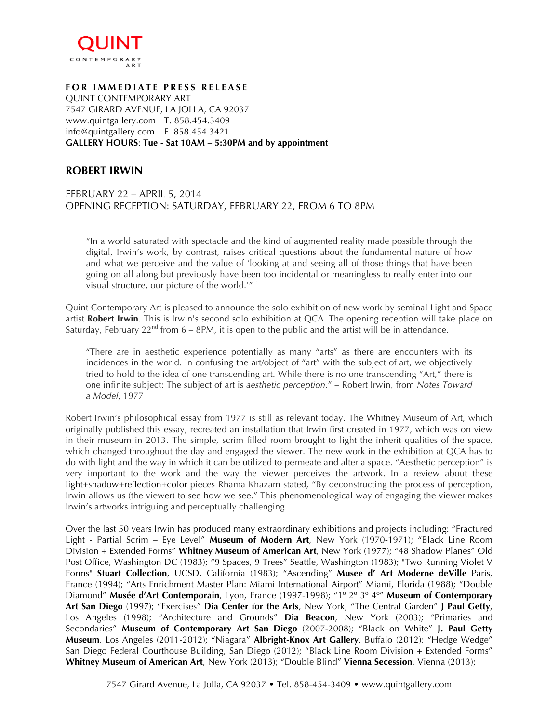

## **FOR IMMEDIATE PRESS RELEASE**

QUINT CONTEMPORARY ART 7547 GIRARD AVENUE, LA JOLLA, CA 92037 www.quintgallery.com T. 858.454.3409 info@quintgallery.com F. 858.454.3421 **GALLERY HOURS**: **Tue - Sat 10AM – 5:30PM and by appointment**

## **ROBERT IRWIN**

FEBRUARY 22 – APRIL 5, 2014 OPENING RECEPTION: SATURDAY, FEBRUARY 22, FROM 6 TO 8PM

"In a world saturated with spectacle and the kind of augmented reality made possible through the digital, Irwin's work, by contrast, raises critical questions about the fundamental nature of how and what we perceive and the value of 'looking at and seeing all of those things that have been going on all along but previously have been too incidental or meaningless to really enter into our visual structure, our picture of the world.'" i

Quint Contemporary Art is pleased to announce the solo exhibition of new work by seminal Light and Space artist **Robert Irwin**. This is Irwin's second solo exhibition at QCA. The opening reception will take place on Saturday, February 22<sup>nd</sup> from  $6 - 8PM$ , it is open to the public and the artist will be in attendance.

"There are in aesthetic experience potentially as many "arts" as there are encounters with its incidences in the world. In confusing the art/object of "art" with the subject of art, we objectively tried to hold to the idea of one transcending art. While there is no one transcending "Art," there is one infinite subject: The subject of art is *aesthetic perception*." – Robert Irwin, from *Notes Toward a Model*, 1977

Robert Irwin's philosophical essay from 1977 is still as relevant today. The Whitney Museum of Art, which originally published this essay, recreated an installation that Irwin first created in 1977, which was on view in their museum in 2013. The simple, scrim filled room brought to light the inherit qualities of the space, which changed throughout the day and engaged the viewer. The new work in the exhibition at QCA has to do with light and the way in which it can be utilized to permeate and alter a space. "Aesthetic perception" is very important to the work and the way the viewer perceives the artwork. In a review about these light+shadow+reflection+color pieces Rhama Khazam stated, "By deconstructing the process of perception, Irwin allows us (the viewer) to see how we see." This phenomenological way of engaging the viewer makes Irwin's artworks intriguing and perceptually challenging.

Over the last 50 years Irwin has produced many extraordinary exhibitions and projects including: "Fractured Light - Partial Scrim – Eye Level" **Museum of Modern Art**, New York (1970-1971); "Black Line Room Division + Extended Forms" **Whitney Museum of American Art**, New York (1977); "48 Shadow Planes" Old Post Office, Washington DC (1983); "9 Spaces, 9 Trees" Seattle, Washington (1983); "Two Running Violet V Forms" **Stuart Collection**, UCSD, California (1983); "Ascending" **Musee d' Art Moderne deVille** Paris, France (1994); "Arts Enrichment Master Plan: Miami International Airport" Miami, Florida (1988); "Double Diamond" **Musée d'Art Contemporain**, Lyon, France (1997-1998); "1º 2º 3º 4º" **Museum of Contemporary Art San Diego** (1997); "Exercises" **Dia Center for the Arts**, New York, "The Central Garden" **J Paul Getty**, Los Angeles (1998); "Architecture and Grounds" **Dia Beacon**, New York (2003); "Primaries and Secondaries" **Museum of Contemporary Art San Diego** (2007-2008); "Black on White" **J. Paul Getty Museum**, Los Angeles (2011-2012); "Niagara" **Albright-Knox Art Gallery**, Buffalo (2012); "Hedge Wedge" San Diego Federal Courthouse Building, San Diego (2012); "Black Line Room Division + Extended Forms" **Whitney Museum of American Art**, New York (2013); "Double Blind" **Vienna Secession**, Vienna (2013);